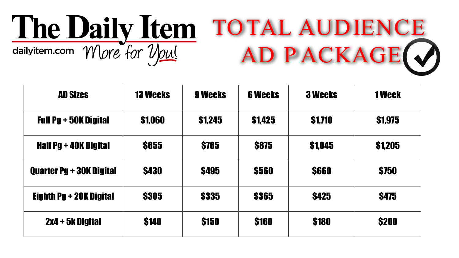## The Daily Item TOTAL AUDIENCE AD PACKAGE O

| <b>AD Sizes</b>                 | <b>13 Weeks</b> | 9 Weeks       | <b>6 Weeks</b> | <b>3 Weeks</b> | <b>1 Week</b> |
|---------------------------------|-----------------|---------------|----------------|----------------|---------------|
| <b>Full Pg + 50K Digital</b>    | \$1,060         | <b>S1.245</b> | \$1,425        | \$1,710        | \$1,975       |
| <b>Half Pg + 40K Digital</b>    | <b>\$655</b>    | \$765         | <b>S875</b>    | <b>\$1,045</b> | \$1,205       |
| <b>Quarter Pg + 30K Digital</b> | <b>\$430</b>    | <b>\$495</b>  | \$560          | \$660          | \$750         |
| <b>Eighth Pg + 20K Digital</b>  | \$305           | \$335         | \$365          | <b>\$425</b>   | <b>\$475</b>  |
| 2x4 + 5k Digital                | \$140           | \$150         | \$160          | \$180          | \$200         |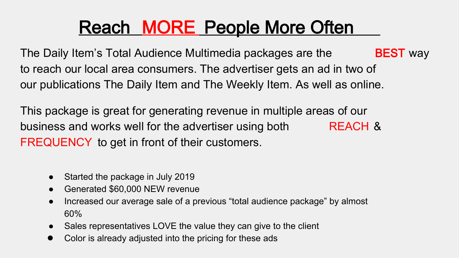# Reach MORE People More Often

The Daily Item's Total Audience Multimedia packages are the **BEST** way to reach our local area consumers. The advertiser gets an ad in two of our publications The Daily Item and The Weekly Item. As well as online.

This package is great for generating revenue in multiple areas of our business and works well for the advertiser using both REACH & FREQUENCY to get in front of their customers.

- Started the package in July 2019
- Generated \$60,000 NEW revenue
- Increased our average sale of a previous "total audience package" by almost 60%
- Sales representatives LOVE the value they can give to the client
- Color is already adjusted into the pricing for these ads